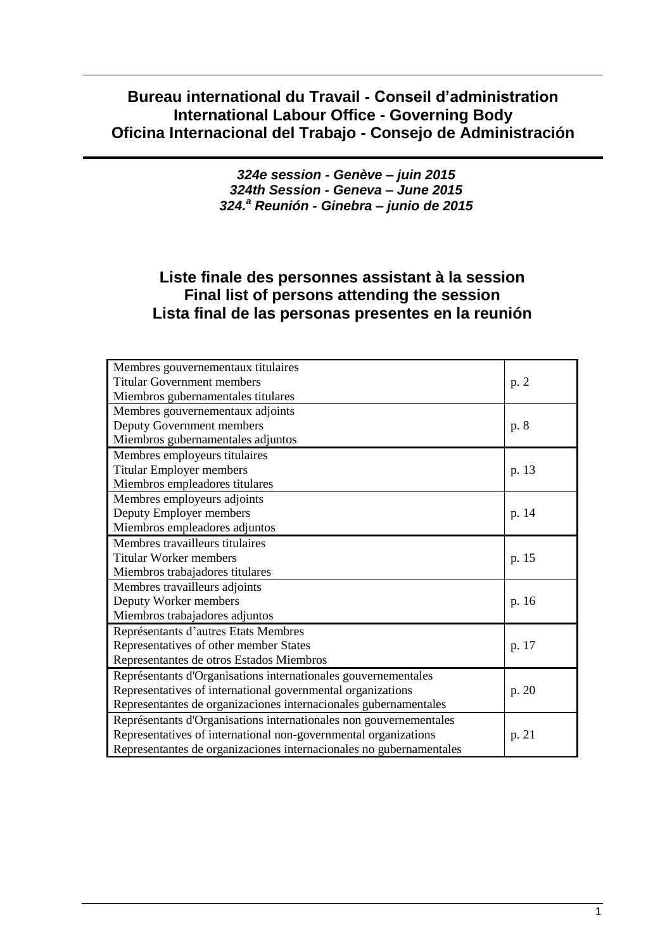# **Bureau international du Travail - Conseil d'administration International Labour Office - Governing Body Oficina Internacional del Trabajo - Consejo de Administración**

*324e session - Genève – juin 2015 324th Session - Geneva – June 2015 324.<sup>a</sup> Reunión - Ginebra – junio de 2015*

# **Liste finale des personnes assistant à la session Final list of persons attending the session Lista final de las personas presentes en la reunión**

| Membres gouvernementaux titulaires                                  |       |
|---------------------------------------------------------------------|-------|
| <b>Titular Government members</b>                                   | p. 2  |
| Miembros gubernamentales titulares                                  |       |
| Membres gouvernementaux adjoints                                    |       |
| Deputy Government members                                           | p. 8  |
| Miembros gubernamentales adjuntos                                   |       |
| Membres employeurs titulaires                                       |       |
| <b>Titular Employer members</b>                                     | p. 13 |
| Miembros empleadores titulares                                      |       |
| Membres employeurs adjoints                                         |       |
| Deputy Employer members                                             | p. 14 |
| Miembros empleadores adjuntos                                       |       |
| Membres travailleurs titulaires                                     |       |
| <b>Titular Worker members</b>                                       | p. 15 |
| Miembros trabajadores titulares                                     |       |
| Membres travailleurs adjoints                                       |       |
| Deputy Worker members                                               | p. 16 |
| Miembros trabajadores adjuntos                                      |       |
| Représentants d'autres Etats Membres                                |       |
| Representatives of other member States                              | p. 17 |
| Representantes de otros Estados Miembros                            |       |
| Représentants d'Organisations internationales gouvernementales      |       |
| Representatives of international governmental organizations         | p. 20 |
| Representantes de organizaciones internacionales gubernamentales    |       |
| Représentants d'Organisations internationales non gouvernementales  |       |
| Representatives of international non-governmental organizations     | p. 21 |
| Representantes de organizaciones internacionales no gubernamentales |       |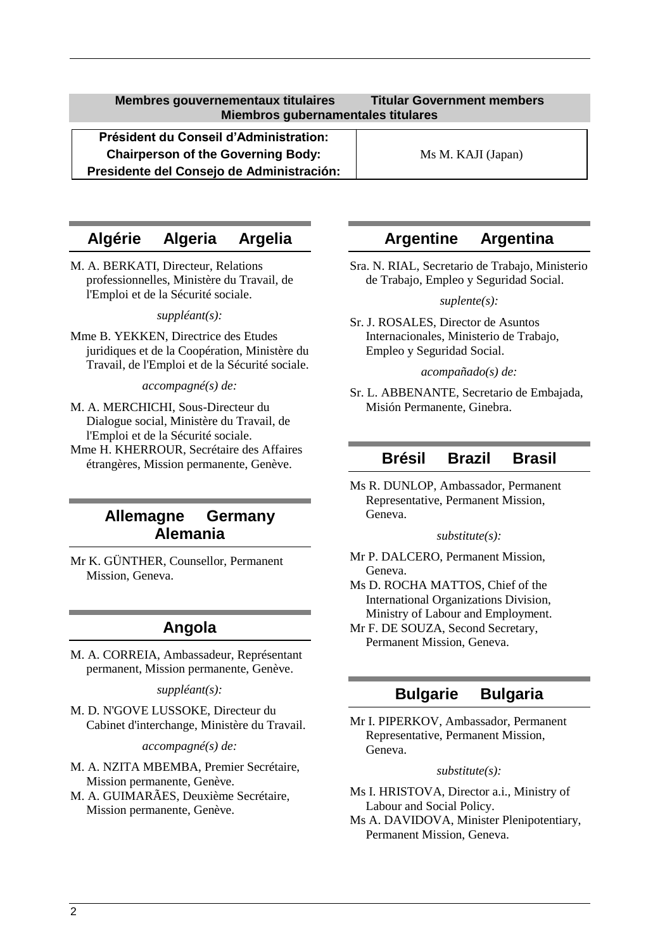<span id="page-1-0"></span>**Président du Conseil d'Administration: Chairperson of the Governing Body:** Ms M. KAJI (Japan) **Presidente del Consejo de Administración:**

# **Algérie Algeria Argelia**

M. A. BERKATI, Directeur, Relations professionnelles, Ministère du Travail, de l'Emploi et de la Sécurité sociale.

### *suppléant(s):*

Mme B. YEKKEN, Directrice des Etudes juridiques et de la Coopération, Ministère du Travail, de l'Emploi et de la Sécurité sociale.

*accompagné(s) de:*

- M. A. MERCHICHI, Sous-Directeur du Dialogue social, Ministère du Travail, de l'Emploi et de la Sécurité sociale.
- Mme H. KHERROUR, Secrétaire des Affaires étrangères, Mission permanente, Genève.

# **Allemagne Germany Alemania**

Mr K. GÜNTHER, Counsellor, Permanent Mission, Geneva.

# **Angola**

M. A. CORREIA, Ambassadeur, Représentant permanent, Mission permanente, Genève.

*suppléant(s):*

M. D. N'GOVE LUSSOKE, Directeur du Cabinet d'interchange, Ministère du Travail.

*accompagné(s) de:*

- M. A. NZITA MBEMBA, Premier Secrétaire, Mission permanente, Genève.
- M. A. GUIMARÃES, Deuxième Secrétaire, Mission permanente, Genève.

# **Argentine Argentina**

Sra. N. RIAL, Secretario de Trabajo, Ministerio de Trabajo, Empleo y Seguridad Social.

*suplente(s):*

Sr. J. ROSALES, Director de Asuntos Internacionales, Ministerio de Trabajo, Empleo y Seguridad Social.

*acompañado(s) de:*

Sr. L. ABBENANTE, Secretario de Embajada, Misión Permanente, Ginebra.

# **Brésil Brazil Brasil**

Ms R. DUNLOP, Ambassador, Permanent Representative, Permanent Mission, Geneva.

*substitute(s):*

- Mr P. DALCERO, Permanent Mission, Geneva.
- Ms D. ROCHA MATTOS, Chief of the International Organizations Division, Ministry of Labour and Employment.
- Mr F. DE SOUZA, Second Secretary, Permanent Mission, Geneva.

# **Bulgarie Bulgaria**

Mr I. PIPERKOV, Ambassador, Permanent Representative, Permanent Mission, Geneva.

*substitute(s):*

- Ms I. HRISTOVA, Director a.i., Ministry of Labour and Social Policy.
- Ms A. DAVIDOVA, Minister Plenipotentiary, Permanent Mission, Geneva.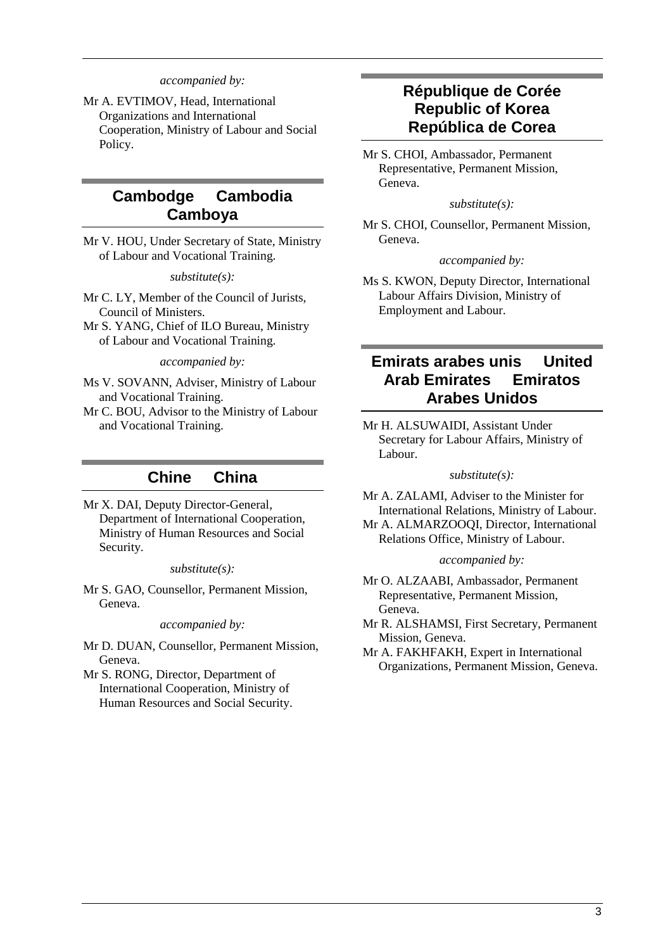*accompanied by:*

Mr A. EVTIMOV, Head, International Organizations and International Cooperation, Ministry of Labour and Social Policy.

# **Cambodge Cambodia Camboya**

Mr V. HOU, Under Secretary of State, Ministry of Labour and Vocational Training.

*substitute(s):*

Mr C. LY, Member of the Council of Jurists, Council of Ministers.

Mr S. YANG, Chief of ILO Bureau, Ministry of Labour and Vocational Training.

*accompanied by:*

Ms V. SOVANN, Adviser, Ministry of Labour and Vocational Training.

Mr C. BOU, Advisor to the Ministry of Labour and Vocational Training.

# **Chine China**

Mr X. DAI, Deputy Director-General, Department of International Cooperation, Ministry of Human Resources and Social Security.

#### *substitute(s):*

Mr S. GAO, Counsellor, Permanent Mission, Geneva.

*accompanied by:*

Mr D. DUAN, Counsellor, Permanent Mission, Geneva.

Mr S. RONG, Director, Department of International Cooperation, Ministry of Human Resources and Social Security.

# **République de Corée Republic of Korea República de Corea**

Mr S. CHOI, Ambassador, Permanent Representative, Permanent Mission, Geneva.

*substitute(s):*

Mr S. CHOI, Counsellor, Permanent Mission, Geneva.

*accompanied by:*

Ms S. KWON, Deputy Director, International Labour Affairs Division, Ministry of Employment and Labour.

# **Emirats arabes unis United Arab Emirates Emiratos Arabes Unidos**

Mr H. ALSUWAIDI, Assistant Under Secretary for Labour Affairs, Ministry of Labour.

#### *substitute(s):*

Mr A. ZALAMI, Adviser to the Minister for International Relations, Ministry of Labour.

Mr A. ALMARZOOQI, Director, International Relations Office, Ministry of Labour.

*accompanied by:*

Mr O. ALZAABI, Ambassador, Permanent Representative, Permanent Mission, Geneva.

Mr R. ALSHAMSI, First Secretary, Permanent Mission, Geneva.

Mr A. FAKHFAKH, Expert in International Organizations, Permanent Mission, Geneva.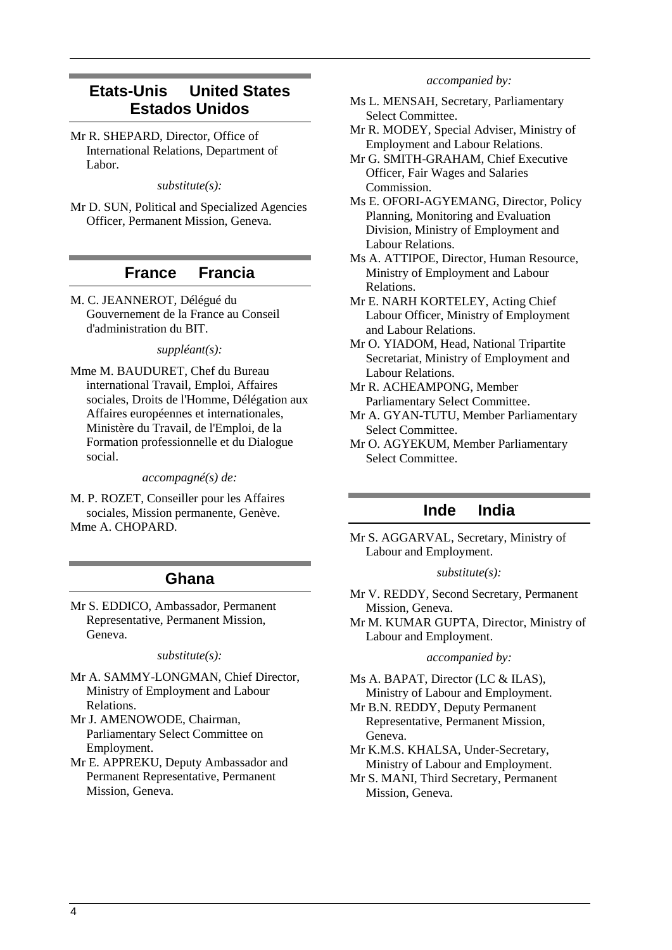# **Etats-Unis United States Estados Unidos**

Mr R. SHEPARD, Director, Office of International Relations, Department of Labor.

#### *substitute(s):*

Mr D. SUN, Political and Specialized Agencies Officer, Permanent Mission, Geneva.

## **France Francia**

M. C. JEANNEROT, Délégué du Gouvernement de la France au Conseil d'administration du BIT.

#### *suppléant(s):*

Mme M. BAUDURET, Chef du Bureau international Travail, Emploi, Affaires sociales, Droits de l'Homme, Délégation aux Affaires européennes et internationales, Ministère du Travail, de l'Emploi, de la Formation professionnelle et du Dialogue social.

*accompagné(s) de:*

M. P. ROZET, Conseiller pour les Affaires sociales, Mission permanente, Genève. Mme A. CHOPARD.

## **Ghana**

Mr S. EDDICO, Ambassador, Permanent Representative, Permanent Mission, Geneva.

#### *substitute(s):*

- Mr A. SAMMY-LONGMAN, Chief Director, Ministry of Employment and Labour Relations.
- Mr J. AMENOWODE, Chairman, Parliamentary Select Committee on Employment.
- Mr E. APPREKU, Deputy Ambassador and Permanent Representative, Permanent Mission, Geneva.

#### *accompanied by:*

- Ms L. MENSAH, Secretary, Parliamentary Select Committee.
- Mr R. MODEY, Special Adviser, Ministry of Employment and Labour Relations.
- Mr G. SMITH-GRAHAM, Chief Executive Officer, Fair Wages and Salaries Commission.

Ms E. OFORI-AGYEMANG, Director, Policy Planning, Monitoring and Evaluation Division, Ministry of Employment and Labour Relations.

- Ms A. ATTIPOE, Director, Human Resource, Ministry of Employment and Labour Relations.
- Mr E. NARH KORTELEY, Acting Chief Labour Officer, Ministry of Employment and Labour Relations.
- Mr O. YIADOM, Head, National Tripartite Secretariat, Ministry of Employment and Labour Relations.
- Mr R. ACHEAMPONG, Member Parliamentary Select Committee.
- Mr A. GYAN-TUTU, Member Parliamentary Select Committee.
- Mr O. AGYEKUM, Member Parliamentary Select Committee.

## **Inde India**

Mr S. AGGARVAL, Secretary, Ministry of Labour and Employment.

### *substitute(s):*

- Mr V. REDDY, Second Secretary, Permanent Mission, Geneva.
- Mr M. KUMAR GUPTA, Director, Ministry of Labour and Employment.

#### *accompanied by:*

- Ms A. BAPAT, Director (LC & ILAS), Ministry of Labour and Employment.
- Mr B.N. REDDY, Deputy Permanent Representative, Permanent Mission, Geneva.
- Mr K.M.S. KHALSA, Under-Secretary, Ministry of Labour and Employment.
- Mr S. MANI, Third Secretary, Permanent Mission, Geneva.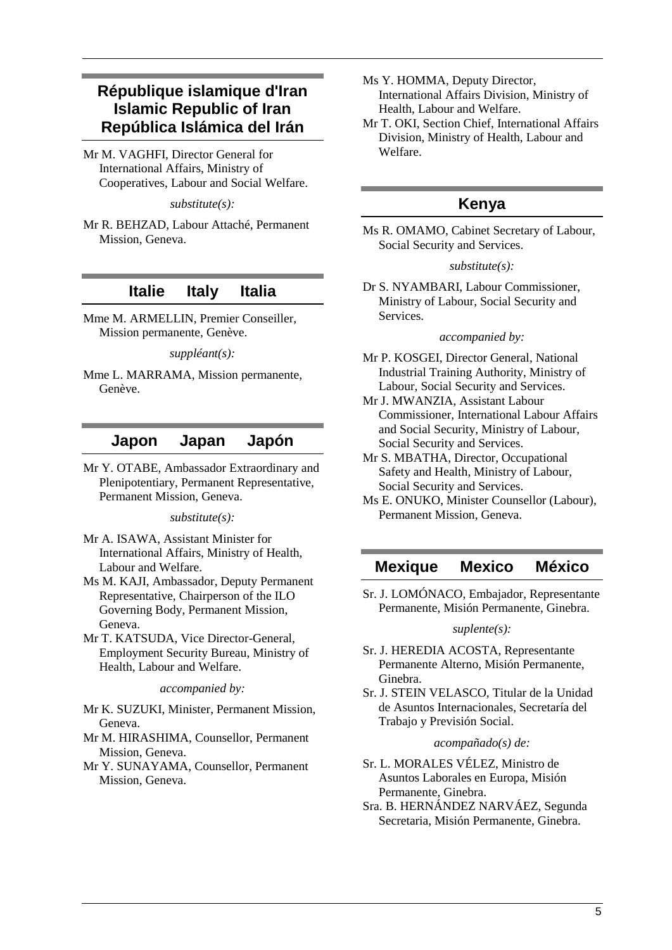# **République islamique d'Iran Islamic Republic of Iran República Islámica del Irán**

Mr M. VAGHFI, Director General for International Affairs, Ministry of Cooperatives, Labour and Social Welfare.

*substitute(s):*

Mr R. BEHZAD, Labour Attaché, Permanent Mission, Geneva.

# **Italie Italy Italia**

Mme M. ARMELLIN, Premier Conseiller, Mission permanente, Genève.

*suppléant(s):*

Mme L. MARRAMA, Mission permanente, Genève.

## **Japon Japan Japón**

Mr Y. OTABE, Ambassador Extraordinary and Plenipotentiary, Permanent Representative, Permanent Mission, Geneva.

*substitute(s):*

- Mr A. ISAWA, Assistant Minister for International Affairs, Ministry of Health, Labour and Welfare.
- Ms M. KAJI, Ambassador, Deputy Permanent Representative, Chairperson of the ILO Governing Body, Permanent Mission, Geneva.
- Mr T. KATSUDA, Vice Director-General, Employment Security Bureau, Ministry of Health, Labour and Welfare.

*accompanied by:*

- Mr K. SUZUKI, Minister, Permanent Mission, Geneva.
- Mr M. HIRASHIMA, Counsellor, Permanent Mission, Geneva.
- Mr Y. SUNAYAMA, Counsellor, Permanent Mission, Geneva.
- Ms Y. HOMMA, Deputy Director, International Affairs Division, Ministry of Health, Labour and Welfare.
- Mr T. OKI, Section Chief, International Affairs Division, Ministry of Health, Labour and Welfare.

# **Kenya**

Ms R. OMAMO, Cabinet Secretary of Labour, Social Security and Services.

#### *substitute(s):*

Dr S. NYAMBARI, Labour Commissioner, Ministry of Labour, Social Security and Services.

#### *accompanied by:*

- Mr P. KOSGEI, Director General, National Industrial Training Authority, Ministry of Labour, Social Security and Services.
- Mr J. MWANZIA, Assistant Labour Commissioner, International Labour Affairs and Social Security, Ministry of Labour, Social Security and Services.
- Mr S. MBATHA, Director, Occupational Safety and Health, Ministry of Labour, Social Security and Services.
- Ms E. ONUKO, Minister Counsellor (Labour), Permanent Mission, Geneva.

# **Mexique Mexico México**

Sr. J. LOMÓNACO, Embajador, Representante Permanente, Misión Permanente, Ginebra.

### *suplente(s):*

- Sr. J. HEREDIA ACOSTA, Representante Permanente Alterno, Misión Permanente, Ginebra.
- Sr. J. STEIN VELASCO, Titular de la Unidad de Asuntos Internacionales, Secretaría del Trabajo y Previsión Social.

### *acompañado(s) de:*

- Sr. L. MORALES VÉLEZ, Ministro de Asuntos Laborales en Europa, Misión Permanente, Ginebra.
- Sra. B. HERNÁNDEZ NARVÁEZ, Segunda Secretaria, Misión Permanente, Ginebra.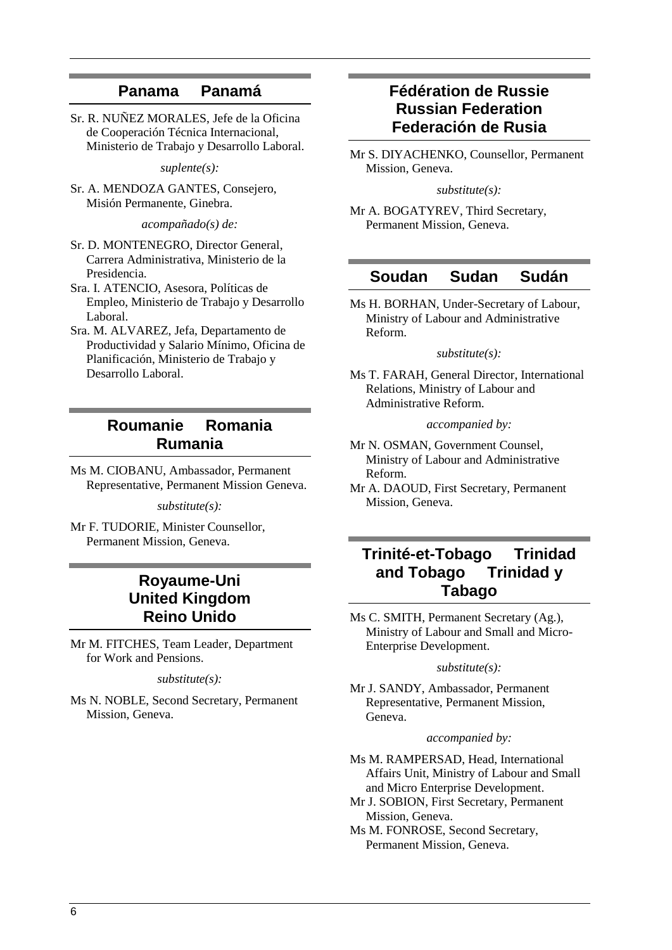# **Panama Panamá**

Sr. R. NUÑEZ MORALES, Jefe de la Oficina de Cooperación Técnica Internacional, Ministerio de Trabajo y Desarrollo Laboral.

*suplente(s):*

Sr. A. MENDOZA GANTES, Consejero, Misión Permanente, Ginebra.

*acompañado(s) de:*

- Sr. D. MONTENEGRO, Director General, Carrera Administrativa, Ministerio de la Presidencia.
- Sra. I. ATENCIO, Asesora, Políticas de Empleo, Ministerio de Trabajo y Desarrollo Laboral.
- Sra. M. ALVAREZ, Jefa, Departamento de Productividad y Salario Mínimo, Oficina de Planificación, Ministerio de Trabajo y Desarrollo Laboral.

# **Roumanie Romania Rumania**

Ms M. CIOBANU, Ambassador, Permanent Representative, Permanent Mission Geneva.

*substitute(s):*

Mr F. TUDORIE, Minister Counsellor, Permanent Mission, Geneva.

# **Royaume-Uni United Kingdom Reino Unido**

Mr M. FITCHES, Team Leader, Department for Work and Pensions.

*substitute(s):*

Ms N. NOBLE, Second Secretary, Permanent Mission, Geneva.

# **Fédération de Russie Russian Federation Federación de Rusia**

Mr S. DIYACHENKO, Counsellor, Permanent Mission, Geneva.

*substitute(s):*

Mr A. BOGATYREV, Third Secretary, Permanent Mission, Geneva.

## **Soudan Sudan Sudán**

Ms H. BORHAN, Under-Secretary of Labour, Ministry of Labour and Administrative Reform.

#### *substitute(s):*

Ms T. FARAH, General Director, International Relations, Ministry of Labour and Administrative Reform.

*accompanied by:*

Mr N. OSMAN, Government Counsel, Ministry of Labour and Administrative Reform.

Mr A. DAOUD, First Secretary, Permanent Mission, Geneva.

# **Trinité-et-Tobago Trinidad and Tobago Trinidad y Tabago**

Ms C. SMITH, Permanent Secretary (Ag.), Ministry of Labour and Small and Micro-Enterprise Development.

#### *substitute(s):*

Mr J. SANDY, Ambassador, Permanent Representative, Permanent Mission, Geneva.

#### *accompanied by:*

Ms M. RAMPERSAD, Head, International Affairs Unit, Ministry of Labour and Small and Micro Enterprise Development.

Mr J. SOBION, First Secretary, Permanent Mission, Geneva.

Ms M. FONROSE, Second Secretary, Permanent Mission, Geneva.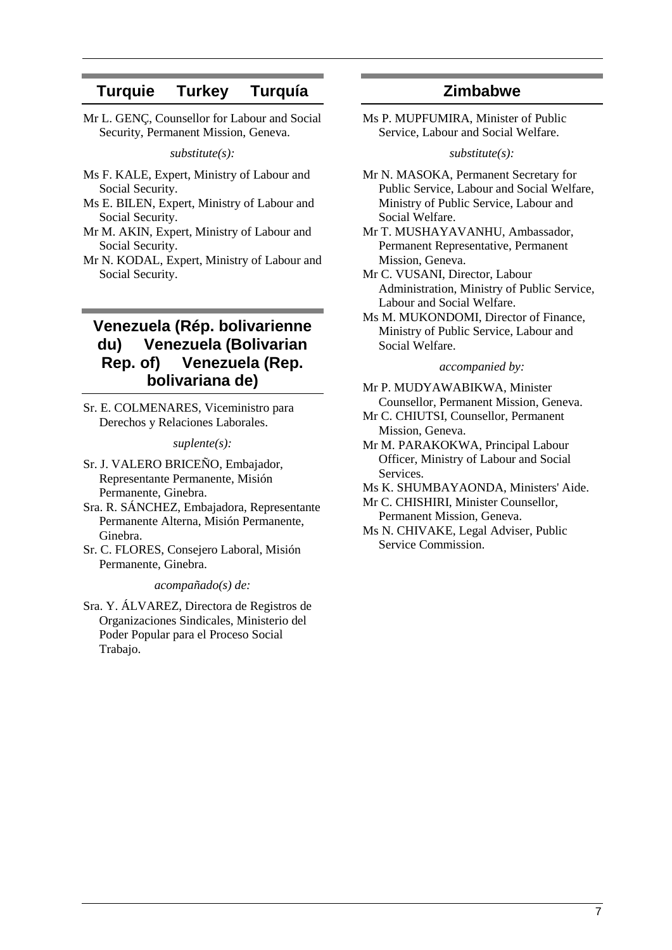# **Turquie Turkey Turquía**

Mr L. GENÇ, Counsellor for Labour and Social Security, Permanent Mission, Geneva.

*substitute(s):*

- Ms F. KALE, Expert, Ministry of Labour and Social Security.
- Ms E. BILEN, Expert, Ministry of Labour and Social Security.
- Mr M. AKIN, Expert, Ministry of Labour and Social Security.
- Mr N. KODAL, Expert, Ministry of Labour and Social Security.

# **Venezuela (Rép. bolivarienne du) Venezuela (Bolivarian Rep. of) Venezuela (Rep. bolivariana de)**

Sr. E. COLMENARES, Viceministro para Derechos y Relaciones Laborales.

### *suplente(s):*

- Sr. J. VALERO BRICEÑO, Embajador, Representante Permanente, Misión Permanente, Ginebra.
- Sra. R. SÁNCHEZ, Embajadora, Representante Permanente Alterna, Misión Permanente, Ginebra.
- Sr. C. FLORES, Consejero Laboral, Misión Permanente, Ginebra.

#### *acompañado(s) de:*

Sra. Y. ÁLVAREZ, Directora de Registros de Organizaciones Sindicales, Ministerio del Poder Popular para el Proceso Social Trabajo.

# **Zimbabwe**

Ms P. MUPFUMIRA, Minister of Public Service, Labour and Social Welfare.

*substitute(s):*

- Mr N. MASOKA, Permanent Secretary for Public Service, Labour and Social Welfare, Ministry of Public Service, Labour and Social Welfare.
- Mr T. MUSHAYAVANHU, Ambassador, Permanent Representative, Permanent Mission, Geneva.
- Mr C. VUSANI, Director, Labour Administration, Ministry of Public Service, Labour and Social Welfare.
- Ms M. MUKONDOMI, Director of Finance, Ministry of Public Service, Labour and Social Welfare.

#### *accompanied by:*

- Mr P. MUDYAWABIKWA, Minister Counsellor, Permanent Mission, Geneva.
- Mr C. CHIUTSI, Counsellor, Permanent Mission, Geneva.
- Mr M. PARAKOKWA, Principal Labour Officer, Ministry of Labour and Social Services.
- Ms K. SHUMBAYAONDA, Ministers' Aide.
- Mr C. CHISHIRI, Minister Counsellor, Permanent Mission, Geneva.
- Ms N. CHIVAKE, Legal Adviser, Public Service Commission.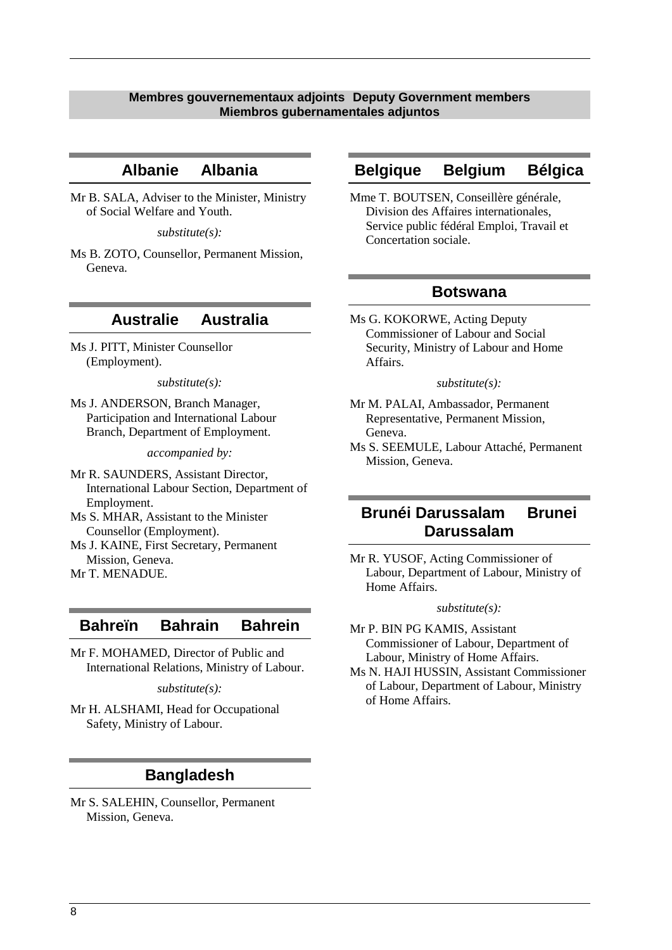### <span id="page-7-0"></span>**Membres gouvernementaux adjoints Deputy Government members Miembros gubernamentales adjuntos**

### **Albanie Albania**

Mr B. SALA, Adviser to the Minister, Ministry of Social Welfare and Youth.

*substitute(s):*

Ms B. ZOTO, Counsellor, Permanent Mission, Geneva.

### **Australie Australia**

Ms J. PITT, Minister Counsellor (Employment).

*substitute(s):*

Ms J. ANDERSON, Branch Manager, Participation and International Labour Branch, Department of Employment.

*accompanied by:*

- Mr R. SAUNDERS, Assistant Director, International Labour Section, Department of Employment.
- Ms S. MHAR, Assistant to the Minister Counsellor (Employment).
- Ms J. KAINE, First Secretary, Permanent Mission, Geneva.
- Mr T. MENADUE.

### **Bahreïn Bahrain Bahrein**

Mr F. MOHAMED, Director of Public and International Relations, Ministry of Labour.

*substitute(s):*

Mr H. ALSHAMI, Head for Occupational Safety, Ministry of Labour.

## **Bangladesh**

Mr S. SALEHIN, Counsellor, Permanent Mission, Geneva.

### **Belgique Belgium Bélgica**

Mme T. BOUTSEN, Conseillère générale, Division des Affaires internationales, Service public fédéral Emploi, Travail et Concertation sociale.

### **Botswana**

Ms G. KOKORWE, Acting Deputy Commissioner of Labour and Social Security, Ministry of Labour and Home Affairs.

#### *substitute(s):*

- Mr M. PALAI, Ambassador, Permanent Representative, Permanent Mission, Geneva.
- Ms S. SEEMULE, Labour Attaché, Permanent Mission, Geneva.

# **Brunéi Darussalam Brunei Darussalam**

Mr R. YUSOF, Acting Commissioner of Labour, Department of Labour, Ministry of Home Affairs.

*substitute(s):*

- Mr P. BIN PG KAMIS, Assistant Commissioner of Labour, Department of Labour, Ministry of Home Affairs.
- Ms N. HAJI HUSSIN, Assistant Commissioner of Labour, Department of Labour, Ministry of Home Affairs.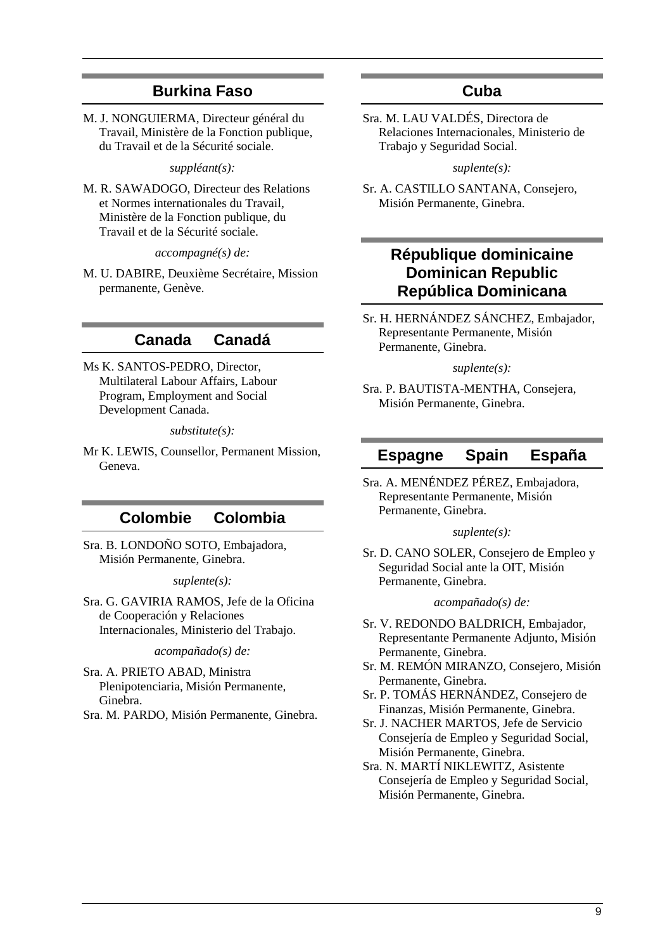# **Burkina Faso**

M. J. NONGUIERMA, Directeur général du Travail, Ministère de la Fonction publique, du Travail et de la Sécurité sociale.

*suppléant(s):*

M. R. SAWADOGO, Directeur des Relations et Normes internationales du Travail, Ministère de la Fonction publique, du Travail et de la Sécurité sociale.

*accompagné(s) de:*

M. U. DABIRE, Deuxième Secrétaire, Mission permanente, Genève.

# **Canada Canadá**

Ms K. SANTOS-PEDRO, Director, Multilateral Labour Affairs, Labour Program, Employment and Social Development Canada.

*substitute(s):*

Mr K. LEWIS, Counsellor, Permanent Mission, Geneva.

# **Colombie Colombia**

Sra. B. LONDOÑO SOTO, Embajadora, Misión Permanente, Ginebra.

#### *suplente(s):*

Sra. G. GAVIRIA RAMOS, Jefe de la Oficina de Cooperación y Relaciones Internacionales, Ministerio del Trabajo.

#### *acompañado(s) de:*

- Sra. A. PRIETO ABAD, Ministra Plenipotenciaria, Misión Permanente, Ginebra.
- Sra. M. PARDO, Misión Permanente, Ginebra.

# **Cuba**

Sra. M. LAU VALDÉS, Directora de Relaciones Internacionales, Ministerio de Trabajo y Seguridad Social.

*suplente(s):*

Sr. A. CASTILLO SANTANA, Consejero, Misión Permanente, Ginebra.

# **République dominicaine Dominican Republic República Dominicana**

Sr. H. HERNÁNDEZ SÁNCHEZ, Embajador, Representante Permanente, Misión Permanente, Ginebra.

#### *suplente(s):*

Sra. P. BAUTISTA-MENTHA, Consejera, Misión Permanente, Ginebra.

## **Espagne Spain España**

Sra. A. MENÉNDEZ PÉREZ, Embajadora, Representante Permanente, Misión Permanente, Ginebra.

### *suplente(s):*

Sr. D. CANO SOLER, Consejero de Empleo y Seguridad Social ante la OIT, Misión Permanente, Ginebra.

#### *acompañado(s) de:*

- Sr. V. REDONDO BALDRICH, Embajador, Representante Permanente Adjunto, Misión Permanente, Ginebra.
- Sr. M. REMÓN MIRANZO, Consejero, Misión Permanente, Ginebra.
- Sr. P. TOMÁS HERNÁNDEZ, Consejero de Finanzas, Misión Permanente, Ginebra.
- Sr. J. NACHER MARTOS, Jefe de Servicio Consejería de Empleo y Seguridad Social, Misión Permanente, Ginebra.
- Sra. N. MARTÍ NIKLEWITZ, Asistente Consejería de Empleo y Seguridad Social, Misión Permanente, Ginebra.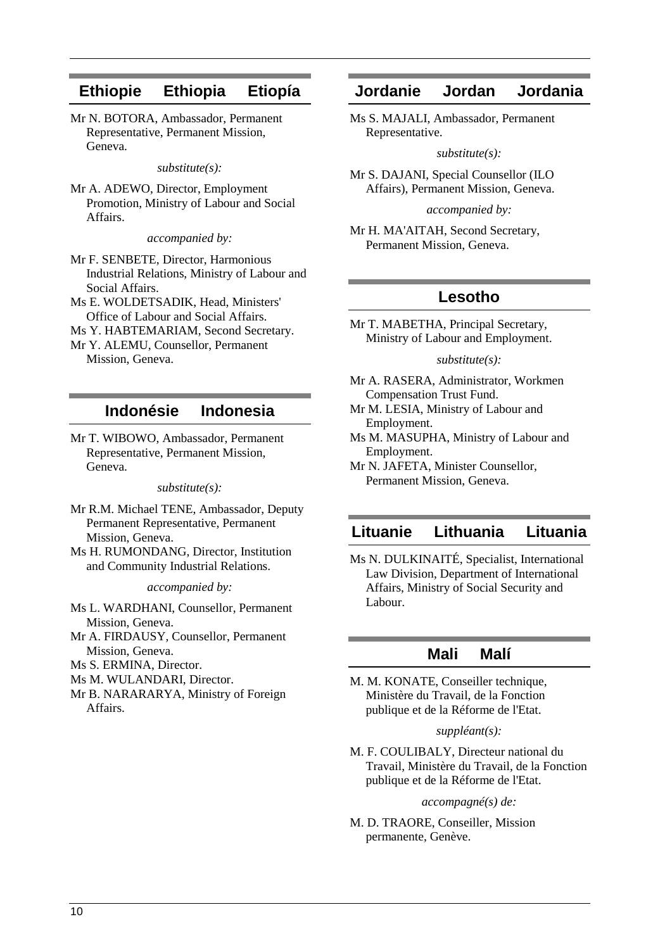# **Ethiopie Ethiopia Etiopía**

Mr N. BOTORA, Ambassador, Permanent Representative, Permanent Mission, Geneva.

*substitute(s):*

Mr A. ADEWO, Director, Employment Promotion, Ministry of Labour and Social Affairs.

*accompanied by:*

- Mr F. SENBETE, Director, Harmonious Industrial Relations, Ministry of Labour and Social Affairs.
- Ms E. WOLDETSADIK, Head, Ministers' Office of Labour and Social Affairs.
- Ms Y. HABTEMARIAM, Second Secretary.
- Mr Y. ALEMU, Counsellor, Permanent Mission, Geneva.

## **Indonésie Indonesia**

Mr T. WIBOWO, Ambassador, Permanent Representative, Permanent Mission, Geneva.

#### *substitute(s):*

Mr R.M. Michael TENE, Ambassador, Deputy Permanent Representative, Permanent Mission, Geneva.

Ms H. RUMONDANG, Director, Institution and Community Industrial Relations.

*accompanied by:*

Ms L. WARDHANI, Counsellor, Permanent Mission, Geneva.

Mr A. FIRDAUSY, Counsellor, Permanent Mission, Geneva.

Ms S. ERMINA, Director.

- Ms M. WULANDARI, Director.
- Mr B. NARARARYA, Ministry of Foreign Affairs.

## **Jordanie Jordan Jordania**

Ms S. MAJALI, Ambassador, Permanent Representative.

*substitute(s):*

Mr S. DAJANI, Special Counsellor (ILO Affairs), Permanent Mission, Geneva.

*accompanied by:*

Mr H. MA'AITAH, Second Secretary, Permanent Mission, Geneva.

## **Lesotho**

Mr T. MABETHA, Principal Secretary, Ministry of Labour and Employment.

#### *substitute(s):*

- Mr A. RASERA, Administrator, Workmen Compensation Trust Fund.
- Mr M. LESIA, Ministry of Labour and Employment.
- Ms M. MASUPHA, Ministry of Labour and Employment.

Mr N. JAFETA, Minister Counsellor, Permanent Mission, Geneva.

# **Lituanie Lithuania Lituania**

Ms N. DULKINAITÉ, Specialist, International Law Division, Department of International Affairs, Ministry of Social Security and Labour.

### **Mali Malí**

M. M. KONATE, Conseiller technique, Ministère du Travail, de la Fonction publique et de la Réforme de l'Etat.

#### *suppléant(s):*

M. F. COULIBALY, Directeur national du Travail, Ministère du Travail, de la Fonction publique et de la Réforme de l'Etat.

#### *accompagné(s) de:*

M. D. TRAORE, Conseiller, Mission permanente, Genève.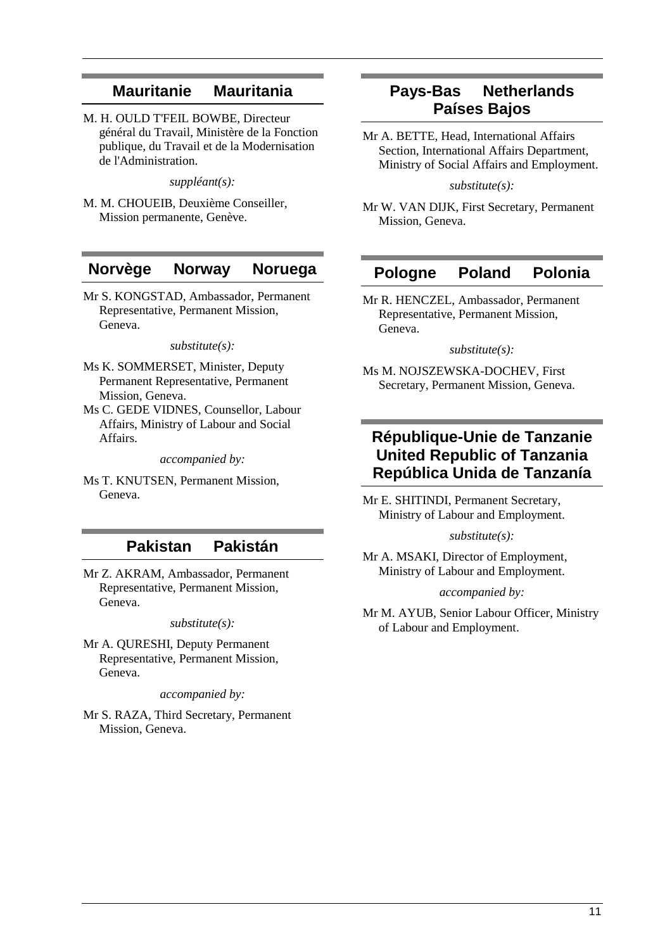# **Mauritanie Mauritania**

M. H. OULD T'FEIL BOWBE, Directeur général du Travail, Ministère de la Fonction publique, du Travail et de la Modernisation de l'Administration.

*suppléant(s):*

M. M. CHOUEIB, Deuxième Conseiller, Mission permanente, Genève.

## **Norvège Norway Noruega**

Mr S. KONGSTAD, Ambassador, Permanent Representative, Permanent Mission, Geneva.

*substitute(s):*

- Ms K. SOMMERSET, Minister, Deputy Permanent Representative, Permanent Mission, Geneva.
- Ms C. GEDE VIDNES, Counsellor, Labour Affairs, Ministry of Labour and Social Affairs.

*accompanied by:*

Ms T. KNUTSEN, Permanent Mission, Geneva.

### **Pakistan Pakistán**

Mr Z. AKRAM, Ambassador, Permanent Representative, Permanent Mission, Geneva.

*substitute(s):*

Mr A. QURESHI, Deputy Permanent Representative, Permanent Mission, Geneva.

*accompanied by:*

Mr S. RAZA, Third Secretary, Permanent Mission, Geneva.

# **Pays-Bas Netherlands Países Bajos**

Mr A. BETTE, Head, International Affairs Section, International Affairs Department, Ministry of Social Affairs and Employment.

*substitute(s):*

Mr W. VAN DIJK, First Secretary, Permanent Mission, Geneva.

### **Pologne Poland Polonia**

Mr R. HENCZEL, Ambassador, Permanent Representative, Permanent Mission, Geneva.

*substitute(s):*

Ms M. NOJSZEWSKA-DOCHEV, First Secretary, Permanent Mission, Geneva.

# **République-Unie de Tanzanie United Republic of Tanzania República Unida de Tanzanía**

Mr E. SHITINDI, Permanent Secretary, Ministry of Labour and Employment.

*substitute(s):*

Mr A. MSAKI, Director of Employment, Ministry of Labour and Employment.

*accompanied by:*

Mr M. AYUB, Senior Labour Officer, Ministry of Labour and Employment.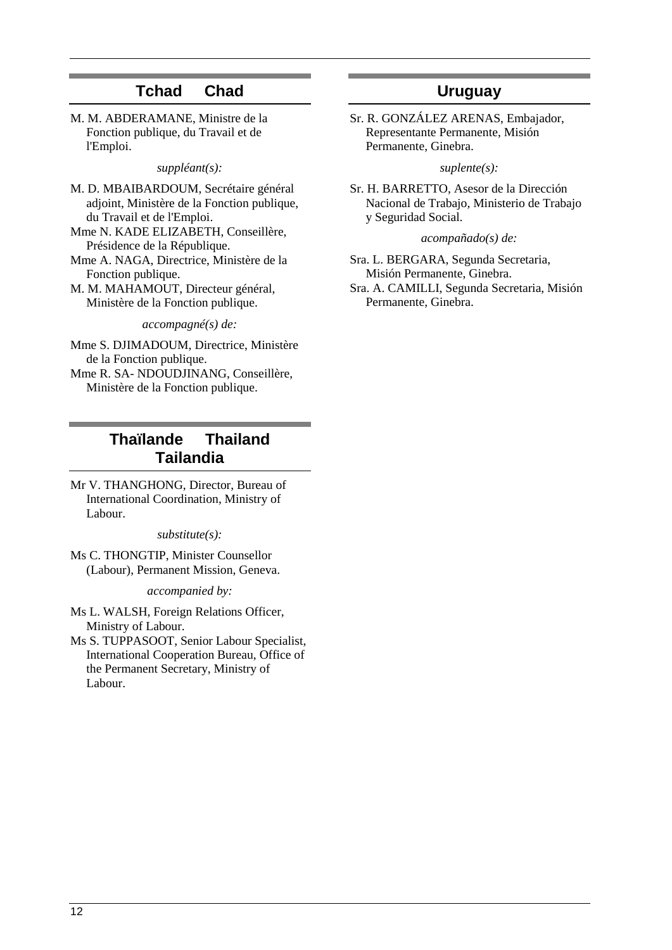# **Tchad Chad**

M. M. ABDERAMANE, Ministre de la Fonction publique, du Travail et de l'Emploi.

*suppléant(s):*

M. D. MBAIBARDOUM, Secrétaire général adjoint, Ministère de la Fonction publique, du Travail et de l'Emploi.

- Mme N. KADE ELIZABETH, Conseillère, Présidence de la République.
- Mme A. NAGA, Directrice, Ministère de la Fonction publique.
- M. M. MAHAMOUT, Directeur général, Ministère de la Fonction publique.

*accompagné(s) de:*

- Mme S. DJIMADOUM, Directrice, Ministère de la Fonction publique.
- Mme R. SA- NDOUDJINANG, Conseillère, Ministère de la Fonction publique.

# **Thaïlande Thailand Tailandia**

Mr V. THANGHONG, Director, Bureau of International Coordination, Ministry of Labour.

*substitute(s):*

Ms C. THONGTIP, Minister Counsellor (Labour), Permanent Mission, Geneva.

*accompanied by:*

- Ms L. WALSH, Foreign Relations Officer, Ministry of Labour.
- Ms S. TUPPASOOT, Senior Labour Specialist, International Cooperation Bureau, Office of the Permanent Secretary, Ministry of Labour.

# **Uruguay**

Sr. R. GONZÁLEZ ARENAS, Embajador, Representante Permanente, Misión Permanente, Ginebra.

#### *suplente(s):*

Sr. H. BARRETTO, Asesor de la Dirección Nacional de Trabajo, Ministerio de Trabajo y Seguridad Social.

*acompañado(s) de:*

Sra. L. BERGARA, Segunda Secretaria, Misión Permanente, Ginebra. Sra. A. CAMILLI, Segunda Secretaria, Misión Permanente, Ginebra.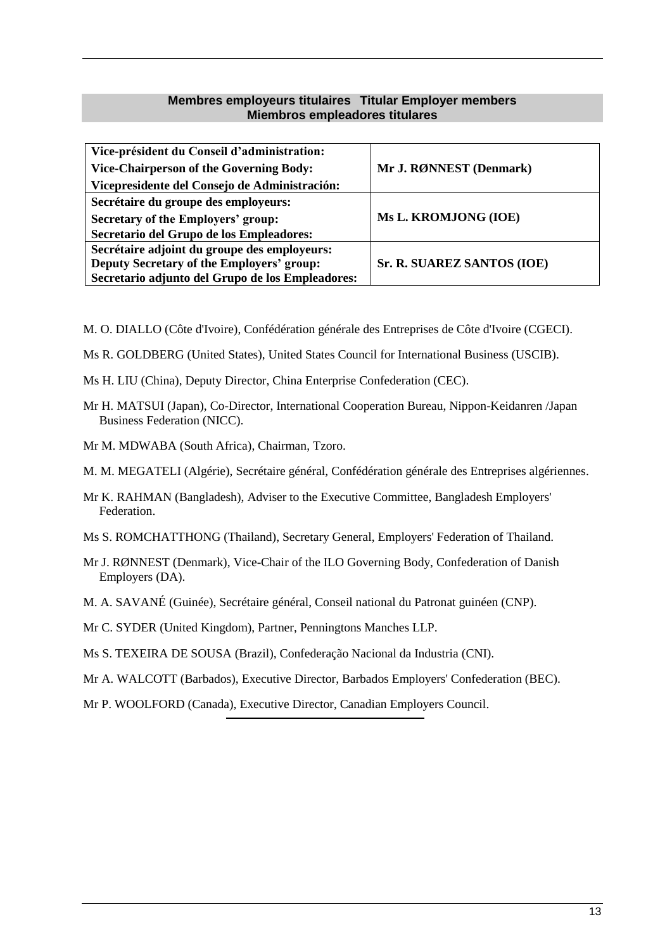### **Membres employeurs titulaires Titular Employer members Miembros empleadores titulares**

<span id="page-12-0"></span>

| Vice-président du Conseil d'administration:      |                            |
|--------------------------------------------------|----------------------------|
| <b>Vice-Chairperson of the Governing Body:</b>   | Mr J. RØNNEST (Denmark)    |
| Vicepresidente del Consejo de Administración:    |                            |
| Secrétaire du groupe des employeurs:             |                            |
| Secretary of the Employers' group:               | Ms L. KROMJONG (IOE)       |
| Secretario del Grupo de los Empleadores:         |                            |
| Secrétaire adjoint du groupe des employeurs:     |                            |
| Deputy Secretary of the Employers' group:        | Sr. R. SUAREZ SANTOS (IOE) |
| Secretario adjunto del Grupo de los Empleadores: |                            |

M. O. DIALLO (Côte d'Ivoire), Confédération générale des Entreprises de Côte d'Ivoire (CGECI).

- Ms R. GOLDBERG (United States), United States Council for International Business (USCIB).
- Ms H. LIU (China), Deputy Director, China Enterprise Confederation (CEC).
- Mr H. MATSUI (Japan), Co-Director, International Cooperation Bureau, Nippon-Keidanren /Japan Business Federation (NICC).
- Mr M. MDWABA (South Africa), Chairman, Tzoro.
- M. M. MEGATELI (Algérie), Secrétaire général, Confédération générale des Entreprises algériennes.
- Mr K. RAHMAN (Bangladesh), Adviser to the Executive Committee, Bangladesh Employers' Federation.
- Ms S. ROMCHATTHONG (Thailand), Secretary General, Employers' Federation of Thailand.
- Mr J. RØNNEST (Denmark), Vice-Chair of the ILO Governing Body, Confederation of Danish Employers (DA).
- M. A. SAVANÉ (Guinée), Secrétaire général, Conseil national du Patronat guinéen (CNP).

Mr C. SYDER (United Kingdom), Partner, Penningtons Manches LLP.

- Ms S. TEXEIRA DE SOUSA (Brazil), Confederação Nacional da Industria (CNI).
- Mr A. WALCOTT (Barbados), Executive Director, Barbados Employers' Confederation (BEC).

Mr P. WOOLFORD (Canada), Executive Director, Canadian Employers Council.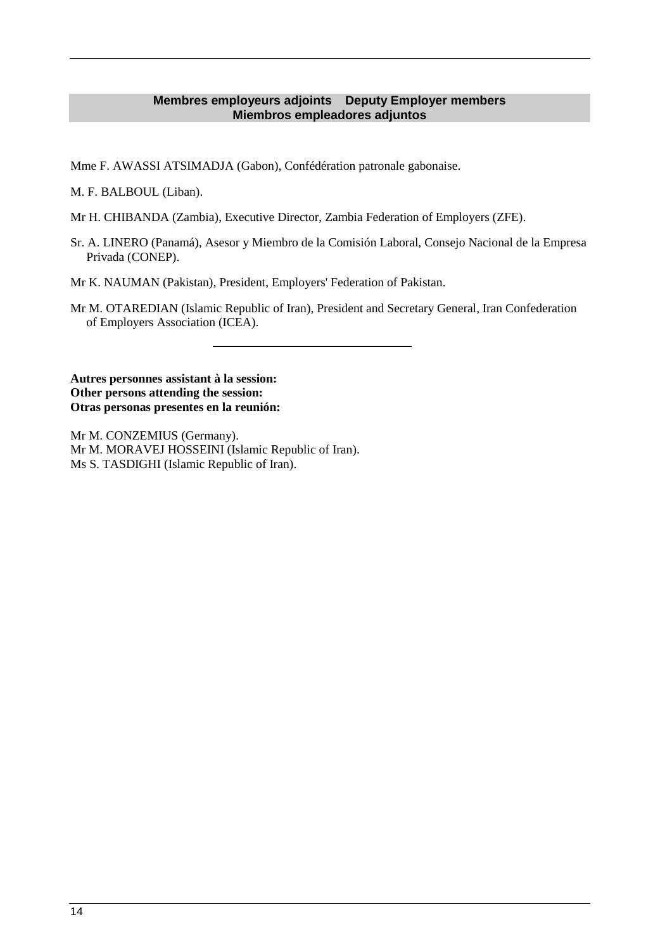### **Membres employeurs adjoints Deputy Employer members Miembros empleadores adjuntos**

<span id="page-13-0"></span>Mme F. AWASSI ATSIMADJA (Gabon), Confédération patronale gabonaise.

M. F. BALBOUL (Liban).

- Mr H. CHIBANDA (Zambia), Executive Director, Zambia Federation of Employers (ZFE).
- Sr. A. LINERO (Panamá), Asesor y Miembro de la Comisión Laboral, Consejo Nacional de la Empresa Privada (CONEP).

Mr K. NAUMAN (Pakistan), President, Employers' Federation of Pakistan.

Mr M. OTAREDIAN (Islamic Republic of Iran), President and Secretary General, Iran Confederation of Employers Association (ICEA).

**Autres personnes assistant à la session: Other persons attending the session: Otras personas presentes en la reunión:**

Mr M. CONZEMIUS (Germany). Mr M. MORAVEJ HOSSEINI (Islamic Republic of Iran). Ms S. TASDIGHI (Islamic Republic of Iran).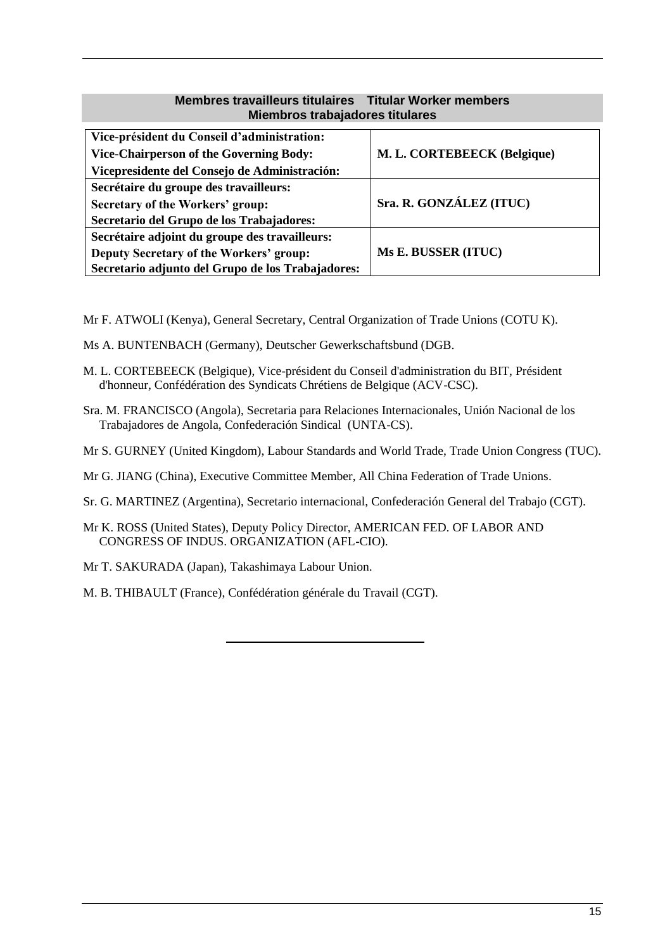### **Membres travailleurs titulaires Titular Worker members Miembros trabajadores titulares**

<span id="page-14-0"></span>

| Vice-président du Conseil d'administration:<br><b>Vice-Chairperson of the Governing Body:</b> | M. L. CORTEBEECK (Belgique) |
|-----------------------------------------------------------------------------------------------|-----------------------------|
| Vicepresidente del Consejo de Administración:                                                 |                             |
| Secrétaire du groupe des travailleurs:                                                        |                             |
| <b>Secretary of the Workers' group:</b>                                                       | Sra. R. GONZÁLEZ (ITUC)     |
| Secretario del Grupo de los Trabajadores:                                                     |                             |
| Secrétaire adjoint du groupe des travailleurs:                                                |                             |
| Deputy Secretary of the Workers' group:                                                       | Ms E. BUSSER (ITUC)         |
| Secretario adjunto del Grupo de los Trabajadores:                                             |                             |

Mr F. ATWOLI (Kenya), General Secretary, Central Organization of Trade Unions (COTU K).

- Ms A. BUNTENBACH (Germany), Deutscher Gewerkschaftsbund (DGB.
- M. L. CORTEBEECK (Belgique), Vice-président du Conseil d'administration du BIT, Président d'honneur, Confédération des Syndicats Chrétiens de Belgique (ACV-CSC).
- Sra. M. FRANCISCO (Angola), Secretaria para Relaciones Internacionales, Unión Nacional de los Trabajadores de Angola, Confederación Sindical (UNTA-CS).
- Mr S. GURNEY (United Kingdom), Labour Standards and World Trade, Trade Union Congress (TUC).
- Mr G. JIANG (China), Executive Committee Member, All China Federation of Trade Unions.
- Sr. G. MARTINEZ (Argentina), Secretario internacional, Confederación General del Trabajo (CGT).
- Mr K. ROSS (United States), Deputy Policy Director, AMERICAN FED. OF LABOR AND CONGRESS OF INDUS. ORGANIZATION (AFL-CIO).
- Mr T. SAKURADA (Japan), Takashimaya Labour Union.
- M. B. THIBAULT (France), Confédération générale du Travail (CGT).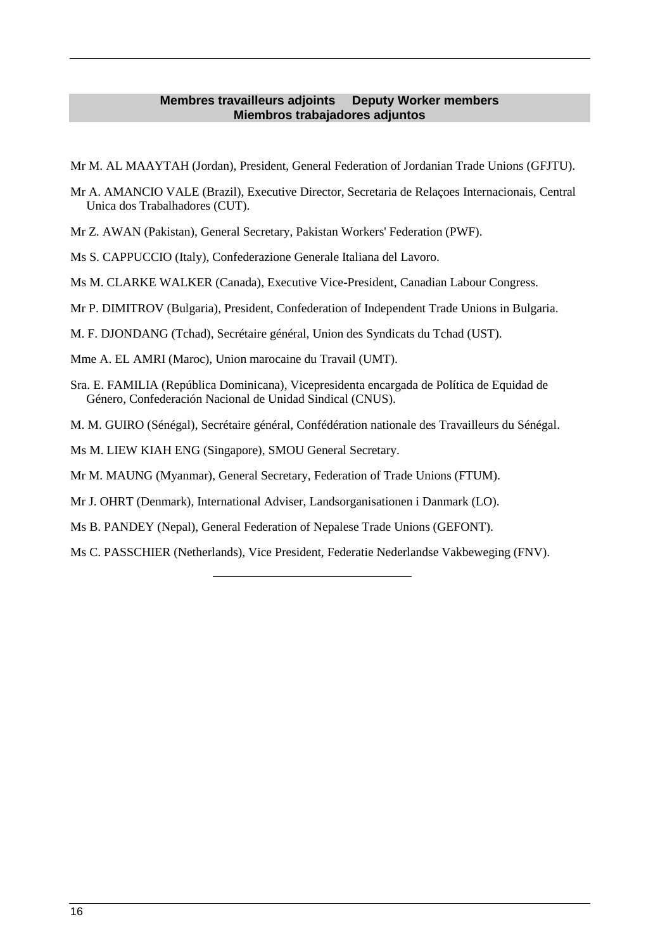### **Membres travailleurs adjoints Deputy Worker members Miembros trabajadores adjuntos**

- <span id="page-15-0"></span>Mr M. AL MAAYTAH (Jordan), President, General Federation of Jordanian Trade Unions (GFJTU).
- Mr A. AMANCIO VALE (Brazil), Executive Director, Secretaria de Relaçoes Internacionais, Central Unica dos Trabalhadores (CUT).
- Mr Z. AWAN (Pakistan), General Secretary, Pakistan Workers' Federation (PWF).
- Ms S. CAPPUCCIO (Italy), Confederazione Generale Italiana del Lavoro.
- Ms M. CLARKE WALKER (Canada), Executive Vice-President, Canadian Labour Congress.
- Mr P. DIMITROV (Bulgaria), President, Confederation of Independent Trade Unions in Bulgaria.
- M. F. DJONDANG (Tchad), Secrétaire général, Union des Syndicats du Tchad (UST).
- Mme A. EL AMRI (Maroc), Union marocaine du Travail (UMT).
- Sra. E. FAMILIA (República Dominicana), Vicepresidenta encargada de Política de Equidad de Género, Confederación Nacional de Unidad Sindical (CNUS).
- M. M. GUIRO (Sénégal), Secrétaire général, Confédération nationale des Travailleurs du Sénégal.
- Ms M. LIEW KIAH ENG (Singapore), SMOU General Secretary.
- Mr M. MAUNG (Myanmar), General Secretary, Federation of Trade Unions (FTUM).
- Mr J. OHRT (Denmark), International Adviser, Landsorganisationen i Danmark (LO).
- Ms B. PANDEY (Nepal), General Federation of Nepalese Trade Unions (GEFONT).
- Ms C. PASSCHIER (Netherlands), Vice President, Federatie Nederlandse Vakbeweging (FNV).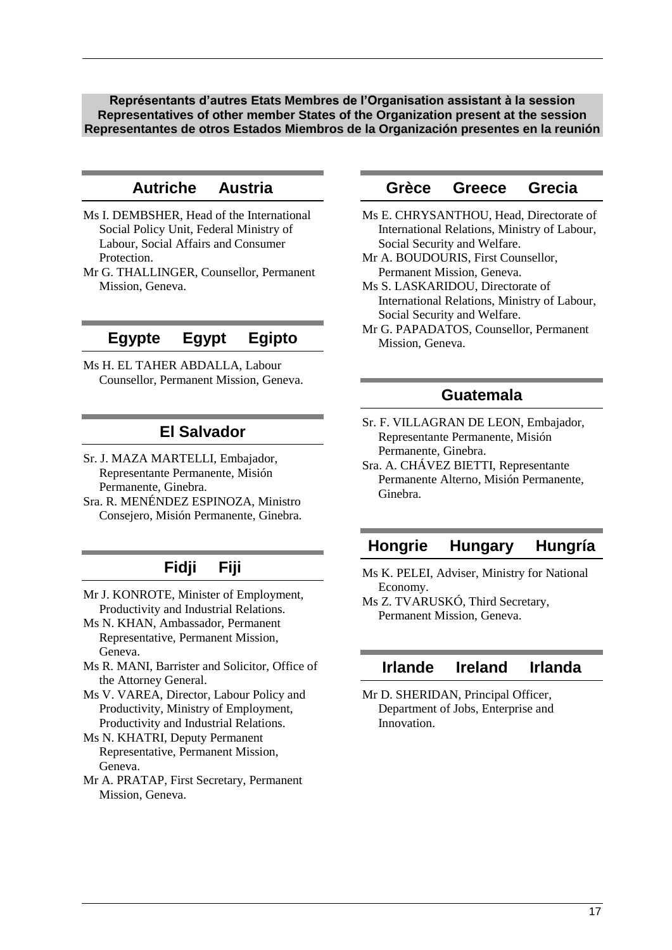<span id="page-16-0"></span>**Représentants d'autres Etats Membres de l'Organisation assistant à la session Representatives of other member States of the Organization present at the session Representantes de otros Estados Miembros de la Organización presentes en la reunión**

# **Autriche Austria**

- Ms I. DEMBSHER, Head of the International Social Policy Unit, Federal Ministry of Labour, Social Affairs and Consumer Protection.
- Mr G. THALLINGER, Counsellor, Permanent Mission, Geneva.

# **Egypte Egypt Egipto**

Ms H. EL TAHER ABDALLA, Labour Counsellor, Permanent Mission, Geneva.

## **El Salvador**

- Sr. J. MAZA MARTELLI, Embajador, Representante Permanente, Misión Permanente, Ginebra.
- Sra. R. MENÉNDEZ ESPINOZA, Ministro Consejero, Misión Permanente, Ginebra.

# **Fidji Fiji**

- Mr J. KONROTE, Minister of Employment, Productivity and Industrial Relations.
- Ms N. KHAN, Ambassador, Permanent Representative, Permanent Mission, Geneva.
- Ms R. MANI, Barrister and Solicitor, Office of the Attorney General.
- Ms V. VAREA, Director, Labour Policy and Productivity, Ministry of Employment, Productivity and Industrial Relations.
- Ms N. KHATRI, Deputy Permanent Representative, Permanent Mission, Geneva.
- Mr A. PRATAP, First Secretary, Permanent Mission, Geneva.

## **Grèce Greece Grecia**

- Ms E. CHRYSANTHOU, Head, Directorate of International Relations, Ministry of Labour, Social Security and Welfare.
- Mr A. BOUDOURIS, First Counsellor, Permanent Mission, Geneva.
- Ms S. LASKARIDOU, Directorate of International Relations, Ministry of Labour, Social Security and Welfare.
- Mr G. PAPADATOS, Counsellor, Permanent Mission, Geneva.

## **Guatemala**

- Sr. F. VILLAGRAN DE LEON, Embajador, Representante Permanente, Misión Permanente, Ginebra.
- Sra. A. CHÁVEZ BIETTI, Representante Permanente Alterno, Misión Permanente, Ginebra.

## **Hongrie Hungary Hungría**

- Ms K. PELEI, Adviser, Ministry for National Economy.
- Ms Z. TVARUSKÓ, Third Secretary, Permanent Mission, Geneva.

# **Irlande Ireland Irlanda**

Mr D. SHERIDAN, Principal Officer, Department of Jobs, Enterprise and Innovation.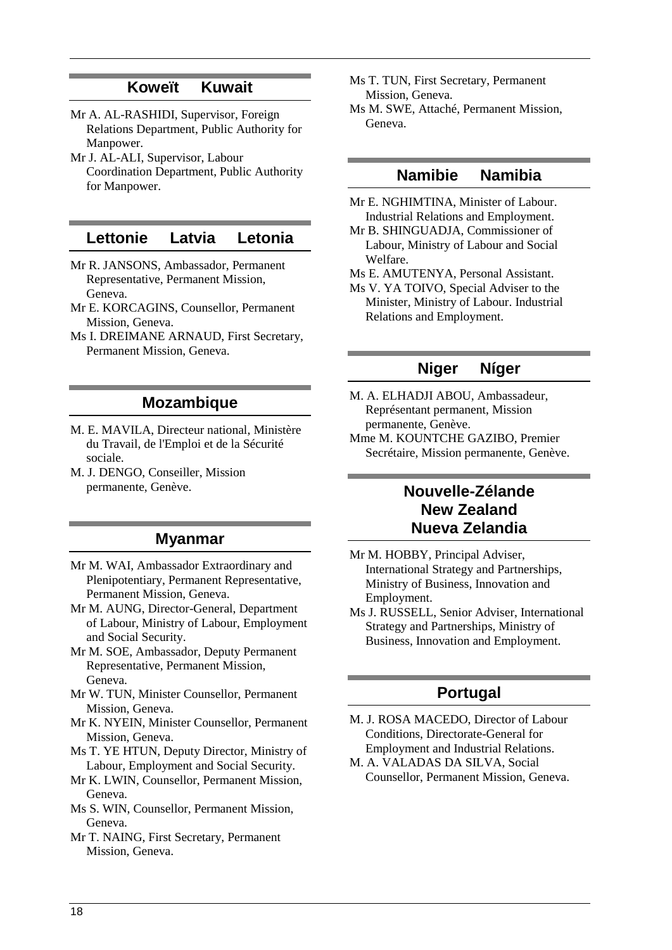# **Koweït Kuwait**

- Mr A. AL-RASHIDI, Supervisor, Foreign Relations Department, Public Authority for Manpower.
- Mr J. AL-ALI, Supervisor, Labour Coordination Department, Public Authority for Manpower.

## **Lettonie Latvia Letonia**

- Mr R. JANSONS, Ambassador, Permanent Representative, Permanent Mission, Geneva.
- Mr E. KORCAGINS, Counsellor, Permanent Mission, Geneva.
- Ms I. DREIMANE ARNAUD, First Secretary, Permanent Mission, Geneva.

## **Mozambique**

- M. E. MAVILA, Directeur national, Ministère du Travail, de l'Emploi et de la Sécurité sociale.
- M. J. DENGO, Conseiller, Mission permanente, Genève.

### **Myanmar**

- Mr M. WAI, Ambassador Extraordinary and Plenipotentiary, Permanent Representative, Permanent Mission, Geneva.
- Mr M. AUNG, Director-General, Department of Labour, Ministry of Labour, Employment and Social Security.
- Mr M. SOE, Ambassador, Deputy Permanent Representative, Permanent Mission, Geneva.
- Mr W. TUN, Minister Counsellor, Permanent Mission, Geneva.
- Mr K. NYEIN, Minister Counsellor, Permanent Mission, Geneva.
- Ms T. YE HTUN, Deputy Director, Ministry of Labour, Employment and Social Security.
- Mr K. LWIN, Counsellor, Permanent Mission, Geneva.
- Ms S. WIN, Counsellor, Permanent Mission, Geneva.
- Mr T. NAING, First Secretary, Permanent Mission, Geneva.
- Ms T. TUN, First Secretary, Permanent Mission, Geneva.
- Ms M. SWE, Attaché, Permanent Mission, Geneva.

## **Namibie Namibia**

- Mr E. NGHIMTINA, Minister of Labour. Industrial Relations and Employment.
- Mr B. SHINGUADJA, Commissioner of Labour, Ministry of Labour and Social Welfare.
- Ms E. AMUTENYA, Personal Assistant.
- Ms V. YA TOIVO, Special Adviser to the Minister, Ministry of Labour. Industrial Relations and Employment.

## **Niger Níger**

- M. A. ELHADJI ABOU, Ambassadeur, Représentant permanent, Mission permanente, Genève.
- Mme M. KOUNTCHE GAZIBO, Premier Secrétaire, Mission permanente, Genève.

# **Nouvelle-Zélande New Zealand Nueva Zelandia**

- Mr M. HOBBY, Principal Adviser, International Strategy and Partnerships, Ministry of Business, Innovation and Employment.
- Ms J. RUSSELL, Senior Adviser, International Strategy and Partnerships, Ministry of Business, Innovation and Employment.

## **Portugal**

- M. J. ROSA MACEDO, Director of Labour Conditions, Directorate-General for Employment and Industrial Relations.
- M. A. VALADAS DA SILVA, Social Counsellor, Permanent Mission, Geneva.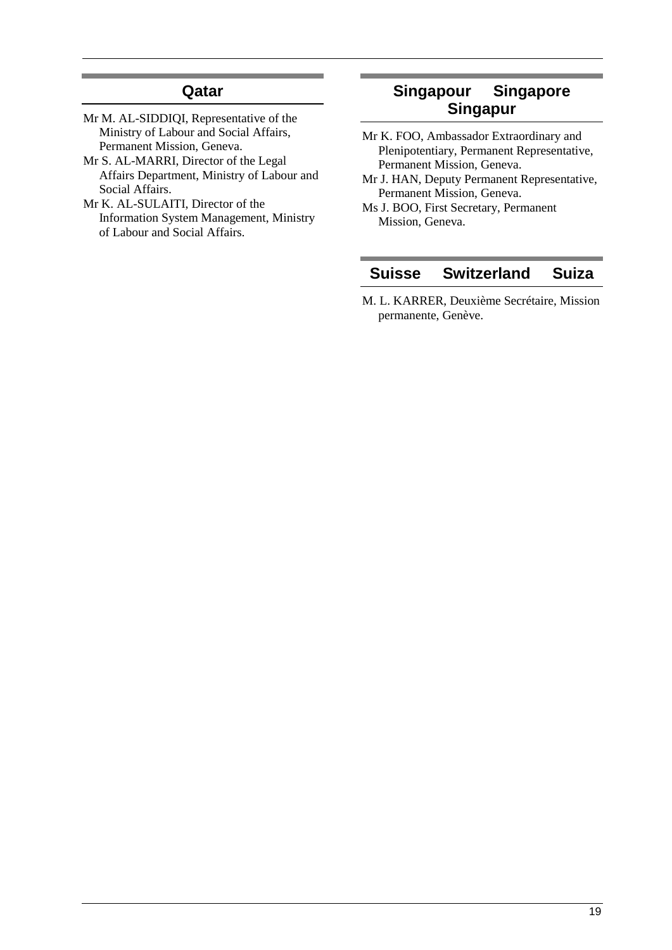# **Qatar**

- Mr M. AL-SIDDIQI, Representative of the Ministry of Labour and Social Affairs, Permanent Mission, Geneva.
- Mr S. AL-MARRI, Director of the Legal Affairs Department, Ministry of Labour and Social Affairs.
- Mr K. AL-SULAITI, Director of the Information System Management, Ministry of Labour and Social Affairs.

# **Singapour Singapore Singapur**

- Mr K. FOO, Ambassador Extraordinary and Plenipotentiary, Permanent Representative, Permanent Mission, Geneva.
- Mr J. HAN, Deputy Permanent Representative, Permanent Mission, Geneva.
- Ms J. BOO, First Secretary, Permanent Mission, Geneva.

# **Suisse Switzerland Suiza**

M. L. KARRER, Deuxième Secrétaire, Mission permanente, Genève.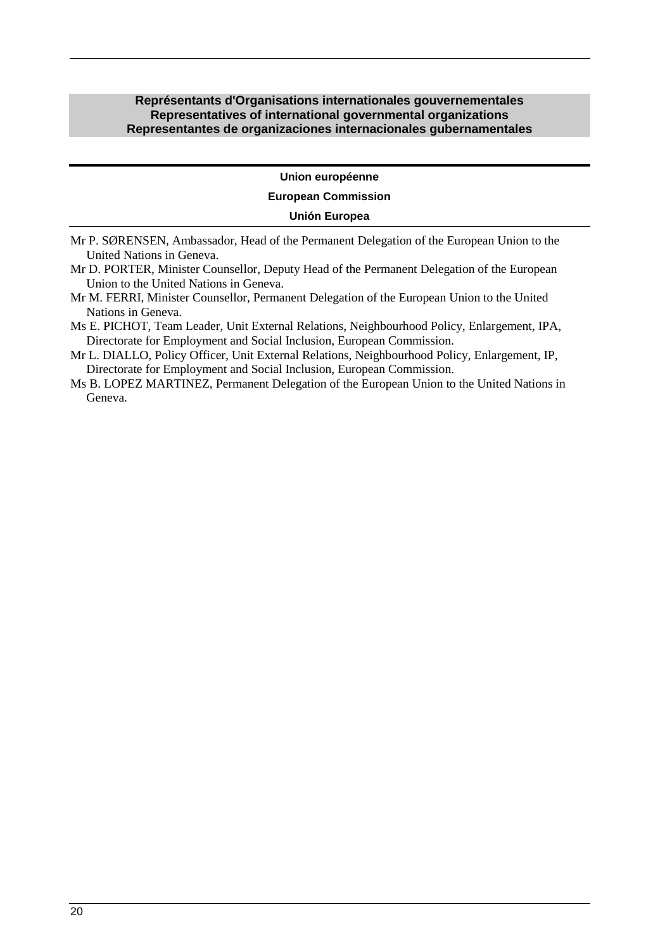### <span id="page-19-0"></span>**Représentants d'Organisations internationales gouvernementales Representatives of international governmental organizations Representantes de organizaciones internacionales gubernamentales**

#### **Union européenne**

#### **European Commission**

### **Unión Europea**

- Mr P. SØRENSEN, Ambassador, Head of the Permanent Delegation of the European Union to the United Nations in Geneva.
- Mr D. PORTER, Minister Counsellor, Deputy Head of the Permanent Delegation of the European Union to the United Nations in Geneva.
- Mr M. FERRI, Minister Counsellor, Permanent Delegation of the European Union to the United Nations in Geneva.
- Ms E. PICHOT, Team Leader, Unit External Relations, Neighbourhood Policy, Enlargement, IPA, Directorate for Employment and Social Inclusion, European Commission.

Mr L. DIALLO, Policy Officer, Unit External Relations, Neighbourhood Policy, Enlargement, IP, Directorate for Employment and Social Inclusion, European Commission.

Ms B. LOPEZ MARTINEZ, Permanent Delegation of the European Union to the United Nations in Geneva.